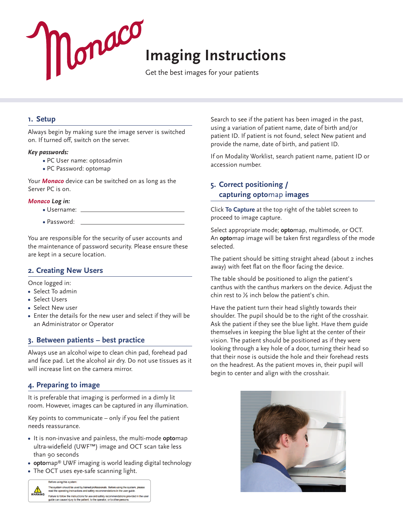

## **1. Setup**

Always begin by making sure the image server is switched on. If turned off, switch on the server.

#### *Key passwords:*

- **•** PC User name: optosadmin
- **•** PC Password: optomap

Your *Monaco* device can be switched on as long as the Server PC is on.

#### *Monaco Log in:*

- **•** Username:
- **•** Password:

You are responsible for the security of user accounts and the maintenance of password security. Please ensure these are kept in a secure location.

### **2. Creating New Users**

Once logged in:

- **•** Select To admin
- **•** Select Users
- **•** Select New user
- **•** Enter the details for the new user and select if they will be an Administrator or Operator

### **3. Between patients – best practice**

Always use an alcohol wipe to clean chin pad, forehead pad and face pad. Let the alcohol air dry. Do not use tissues as it will increase lint on the camera mirror.

## **4. Preparing to image**

It is preferable that imaging is performed in a dimly lit room. However, images can be captured in any illumination.

Key points to communicate – only if you feel the patient needs reassurance.

- **•** It is non-invasive and painless, the multi-mode **opto**map ultra-widefield (UWF™) image and OCT scan take less than 90 seconds
- **• opto**map® UWF imaging is world leading digital technology
- **•** The OCT uses eye-safe scanning light.



Search to see if the patient has been imaged in the past, using a variation of patient name, date of birth and/or patient ID. If patient is not found, select New patient and provide the name, date of birth, and patient ID.

If on Modality Worklist, search patient name, patient ID or accession number.

## **5. Correct positioning / capturing opto**map **images**

Click **To Capture** at the top right of the tablet screen to proceed to image capture.

Select appropriate mode; **opto**map, multimode, or OCT. An **opto**map image will be taken first regardless of the mode selected.

The patient should be sitting straight ahead (about 2 inches away) with feet flat on the floor facing the device.

The table should be positioned to align the patient's canthus with the canthus markers on the device. Adjust the chin rest to ½ inch below the patient's chin.

Have the patient turn their head slightly towards their shoulder. The pupil should be to the right of the crosshair. Ask the patient if they see the blue light. Have them guide themselves in keeping the blue light at the center of their vision. The patient should be positioned as if they were looking through a key hole of a door, turning their head so that their nose is outside the hole and their forehead rests on the headrest. As the patient moves in, their pupil will begin to center and align with the crosshair.

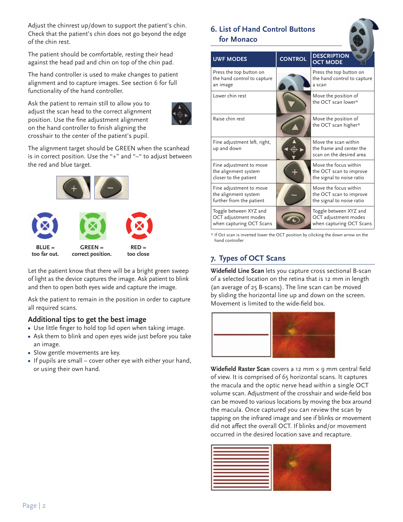Adjust the chinrest up/down to support the patient's chin. Check that the patient's chin does not go beyond the edge of the chin rest.

The patient should be comfortable, resting their head against the head pad and chin on top of the chin pad.

The hand controller is used to make changes to patient alignment and to capture images. See section 6 for full functionality of the hand controller.

Ask the patient to remain still to allow you to adjust the scan head to the correct alignment position. Use the fine adjustment alignment on the hand controller to finish aligning the crosshair to the center of the patient's pupil.



The alignment target should be GREEN when the scanhead is in correct position. Use the "+" and "–" to adjust between the red and blue target.



Let the patient know that there will be a bright green sweep of light as the device captures the image. Ask patient to blink and then to open both eyes wide and capture the image.

Ask the patient to remain in the position in order to capture all required scans.

## **Additional tips to get the best image**

- **•** Use little finger to hold top lid open when taking image.
- **•** Ask them to blink and open eyes wide just before you take an image.
- **•** Slow gentle movements are key.
- **•** If pupils are small cover other eye with either your hand, or using their own hand.

# **6. List of Hand Control Buttons for Monaco**

| <b>UWF MODES</b>                                                            | <b>CONTROL</b> | <b>DESCRIPTION</b><br><b>OCT MODE</b>                                         |
|-----------------------------------------------------------------------------|----------------|-------------------------------------------------------------------------------|
| Press the top button on<br>the hand control to capture<br>an image          |                | Press the top button on<br>the hand control to capture<br>a scan              |
| Lower chin rest                                                             |                | Move the position of<br>the OCT scan lower*                                   |
| Raise chin rest                                                             |                | Move the position of<br>the OCT scan higher*                                  |
| Fine adjustment left, right,<br>up and down                                 |                | Move the scan within<br>the frame and center the<br>scan on the desired area  |
| Fine adjustment to move<br>the alignment system<br>closer to the patient    |                | Move the focus within<br>the OCT scan to improve<br>the signal to noise ratio |
| Fine adjustment to move<br>the alignment system<br>further from the patient |                | Move the focus within<br>the OCT scan to improve<br>the signal to noise ratio |
| Toggle between XYZ and<br>OCT adjustment modes<br>when capturing OCT Scans  |                | Toggle between XYZ and<br>OCT adjustment modes<br>when capturing OCT Scans    |

\* If Oct scan is inverted lower the OCT position by cilicking the down arrow on the hand controller

# **7. Types of OCT Scans**

**Widefield Line Scan** lets you capture cross sectional B-scan of a selected location on the retina that is 12 mm in length (an average of 25 B-scans). The line scan can be moved by sliding the horizontal line up and down on the screen. Movement is limited to the wide-field box.



**Widefield Raster Scan** covers a 12 mm × 9 mm central field of view. It is comprised of 65 horizontal scans. It captures the macula and the optic nerve head within a single OCT volume scan. Adjustment of the crosshair and wide-field box can be moved to various locations by moving the box around the macula. Once captured you can review the scan by tapping on the infrared image and see if blinks or movement did not affect the overall OCT. If blinks and/or movement occurred in the desired location save and recapture.

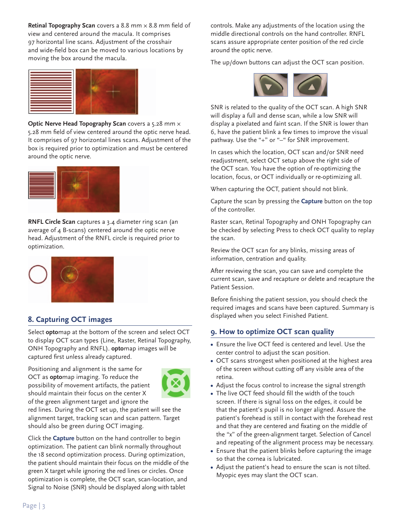**Retinal Topography Scan** covers a 8.8 mm × 8.8 mm field of view and centered around the macula. It comprises 97 horizontal line scans. Adjustment of the crosshair and wide-field box can be moved to various locations by moving the box around the macula.



**Optic Nerve Head Topography Scan** covers a 5.28 mm x 5.28 mm field of view centered around the optic nerve head. It comprises of 97 horizontal lines scans. Adjustment of the box is required prior to optimization and must be centered around the optic nerve.



**RNFL Circle Scan** captures a 3.4 diameter ring scan (an average of 4 B-scans) centered around the optic nerve head. Adjustment of the RNFL circle is required prior to optimization.



# **8. Capturing OCT images**

Select **opto**map at the bottom of the screen and select OCT to display OCT scan types (Line, Raster, Retinal Topography, ONH Topography and RNFL). **opto**map images will be captured first unless already captured.

Positioning and alignment is the same for OCT as **opto**map imaging. To reduce the possibility of movement artifacts, the patient should maintain their focus on the center X of the green alignment target and ignore the



red lines. During the OCT set up, the patient will see the alignment target, tracking scan and scan pattern. Target should also be green during OCT imaging.

Click the **Capture** button on the hand controller to begin optimization. The patient can blink normally throughout the 18 second optimization process. During optimization, the patient should maintain their focus on the middle of the green X target while ignoring the red lines or circles. Once optimization is complete, the OCT scan, scan-location, and Signal to Noise (SNR) should be displayed along with tablet

controls. Make any adjustments of the location using the middle directional controls on the hand controller. RNFL scans assure appropriate center position of the red circle around the optic nerve.

The up/down buttons can adjust the OCT scan position.



SNR is related to the quality of the OCT scan. A high SNR will display a full and dense scan, while a low SNR will display a pixelated and faint scan. If the SNR is lower than 6, have the patient blink a few times to improve the visual pathway. Use the "+" or "-" for SNR improvement.

In cases which the location, OCT scan and/or SNR need readjustment, select OCT setup above the right side of the OCT scan. You have the option of re-optimizing the location, focus, or OCT individually or re-optimizing all.

When capturing the OCT, patient should not blink.

Capture the scan by pressing the **Capture** button on the top of the controller.

Raster scan, Retinal Topography and ONH Topography can be checked by selecting Press to check OCT quality to replay the scan.

Review the OCT scan for any blinks, missing areas of information, centration and quality.

After reviewing the scan, you can save and complete the current scan, save and recapture or delete and recapture the Patient Session.

Before finishing the patient session, you should check the required images and scans have been captured. Summary is displayed when you select Finished Patient.

## **9. How to optimize OCT scan quality**

- **•** Ensure the live OCT feed is centered and level. Use the center control to adjust the scan position.
- **•** OCT scans strongest when positioned at the highest area of the screen without cutting off any visible area of the retina.
- **•** Adjust the focus control to increase the signal strength
- **•** The live OCT feed should fill the width of the touch screen. If there is signal loss on the edges, it could be that the patient's pupil is no longer aligned. Assure the patient's forehead is still in contact with the forehead rest and that they are centered and fixating on the middle of the "x" of the green-alignment target. Selection of Cancel and repeating of the alignment process may be necessary.
- **•** Ensure that the patient blinks before capturing the image so that the cornea is lubricated.
- **•** Adjust the patient's head to ensure the scan is not tilted. Myopic eyes may slant the OCT scan.